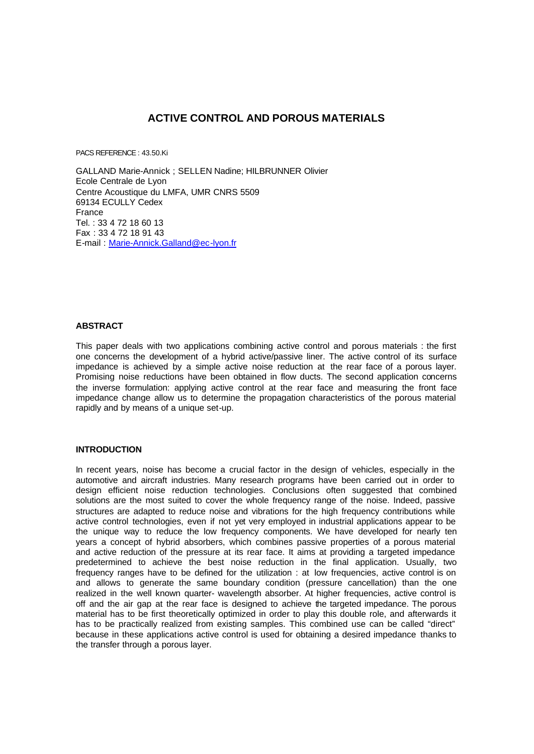# **ACTIVE CONTROL AND POROUS MATERIALS**

PACS REFERENCE : 43.50.Ki

GALLAND Marie-Annick ; SELLEN Nadine; HILBRUNNER Olivier Ecole Centrale de Lyon Centre Acoustique du LMFA, UMR CNRS 5509 69134 ECULLY Cedex France Tel. : 33 4 72 18 60 13 Fax : 33 4 72 18 91 43 E-mail : Marie-Annick.Galland@ec-lyon.fr

## **ABSTRACT**

This paper deals with two applications combining active control and porous materials : the first one concerns the development of a hybrid active/passive liner. The active control of its surface impedance is achieved by a simple active noise reduction at the rear face of a porous layer. Promising noise reductions have been obtained in flow ducts. The second application concerns the inverse formulation: applying active control at the rear face and measuring the front face impedance change allow us to determine the propagation characteristics of the porous material rapidly and by means of a unique set-up.

## **INTRODUCTION**

In recent years, noise has become a crucial factor in the design of vehicles, especially in the automotive and aircraft industries. Many research programs have been carried out in order to design efficient noise reduction technologies. Conclusions often suggested that combined solutions are the most suited to cover the whole frequency range of the noise. Indeed, passive structures are adapted to reduce noise and vibrations for the high frequency contributions while active control technologies, even if not yet very employed in industrial applications appear to be the unique way to reduce the low frequency components. We have developed for nearly ten years a concept of hybrid absorbers, which combines passive properties of a porous material and active reduction of the pressure at its rear face. It aims at providing a targeted impedance predetermined to achieve the best noise reduction in the final application. Usually, two frequency ranges have to be defined for the utilization : at low frequencies, active control is on and allows to generate the same boundary condition (pressure cancellation) than the one realized in the well known quarter- wavelength absorber. At higher frequencies, active control is off and the air gap at the rear face is designed to achieve the targeted impedance. The porous material has to be first theoretically optimized in order to play this double role, and afterwards it has to be practically realized from existing samples. This combined use can be called "direct" because in these applications active control is used for obtaining a desired impedance thanks to the transfer through a porous layer.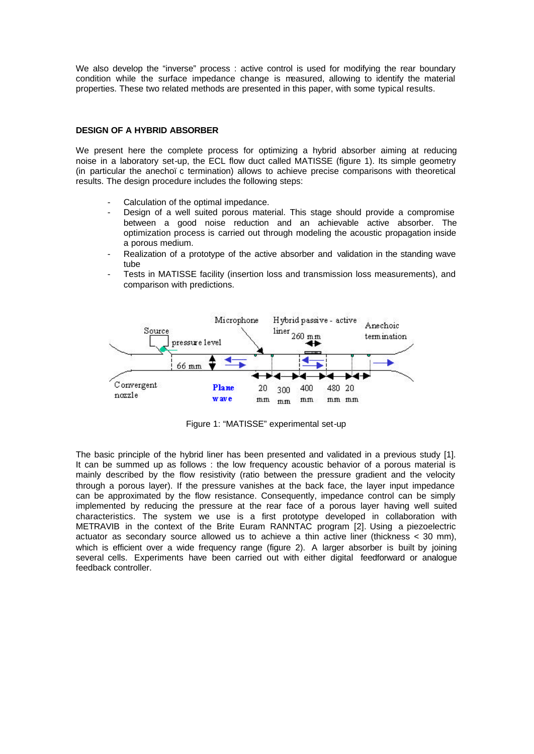We also develop the "inverse" process : active control is used for modifying the rear boundary condition while the surface impedance change is measured, allowing to identify the material properties. These two related methods are presented in this paper, with some typical results.

#### **DESIGN OF A HYBRID ABSORBER**

We present here the complete process for optimizing a hybrid absorber aiming at reducing noise in a laboratory set-up, the ECL flow duct called MATISSE (figure 1). Its simple geometry (in particular the anechoï c termination) allows to achieve precise comparisons with theoretical results. The design procedure includes the following steps:

- Calculation of the optimal impedance.
- Design of a well suited porous material. This stage should provide a compromise between a good noise reduction and an achievable active absorber. The optimization process is carried out through modeling the acoustic propagation inside a porous medium.
- Realization of a prototype of the active absorber and validation in the standing wave tube
- Tests in MATISSE facility (insertion loss and transmission loss measurements), and comparison with predictions.



Figure 1: "MATISSE" experimental set-up

The basic principle of the hybrid liner has been presented and validated in a previous study [1]. It can be summed up as follows : the low frequency acoustic behavior of a porous material is mainly described by the flow resistivity (ratio between the pressure gradient and the velocity through a porous layer). If the pressure vanishes at the back face, the layer input impedance can be approximated by the flow resistance. Consequently, impedance control can be simply implemented by reducing the pressure at the rear face of a porous layer having well suited characteristics. The system we use is a first prototype developed in collaboration with METRAVIB in the context of the Brite Euram RANNTAC program [2]. Using a piezoelectric actuator as secondary source allowed us to achieve a thin active liner (thickness < 30 mm), which is efficient over a wide frequency range (figure 2). A larger absorber is built by joining several cells. Experiments have been carried out with either digital feedforward or analogue feedback controller.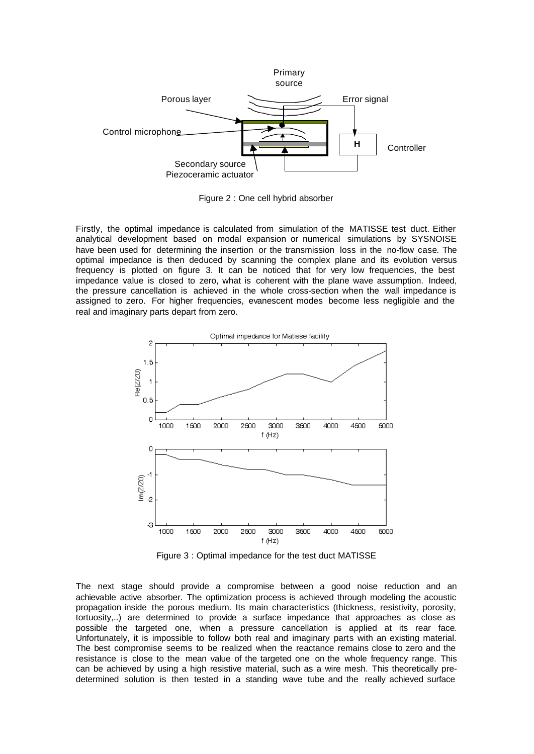

Figure 2 : One cell hybrid absorber

Firstly, the optimal impedance is calculated from simulation of the MATISSE test duct. Either analytical development based on modal expansion or numerical simulations by SYSNOISE have been used for determining the insertion or the transmission loss in the no-flow case. The optimal impedance is then deduced by scanning the complex plane and its evolution versus frequency is plotted on figure 3. It can be noticed that for very low frequencies, the best impedance value is closed to zero, what is coherent with the plane wave assumption. Indeed, the pressure cancellation is achieved in the whole cross-section when the wall impedance is assigned to zero. For higher frequencies, evanescent modes become less negligible and the real and imaginary parts depart from zero.



Figure 3 : Optimal impedance for the test duct MATISSE

The next stage should provide a compromise between a good noise reduction and an achievable active absorber. The optimization process is achieved through modeling the acoustic propagation inside the porous medium. Its main characteristics (thickness, resistivity, porosity, tortuosity,..) are determined to provide a surface impedance that approaches as close as possible the targeted one, when a pressure cancellation is applied at its rear face. Unfortunately, it is impossible to follow both real and imaginary parts with an existing material. The best compromise seems to be realized when the reactance remains close to zero and the resistance is close to the mean value of the targeted one on the whole frequency range. This can be achieved by using a high resistive material, such as a wire mesh. This theoretically predetermined solution is then tested in a standing wave tube and the really achieved surface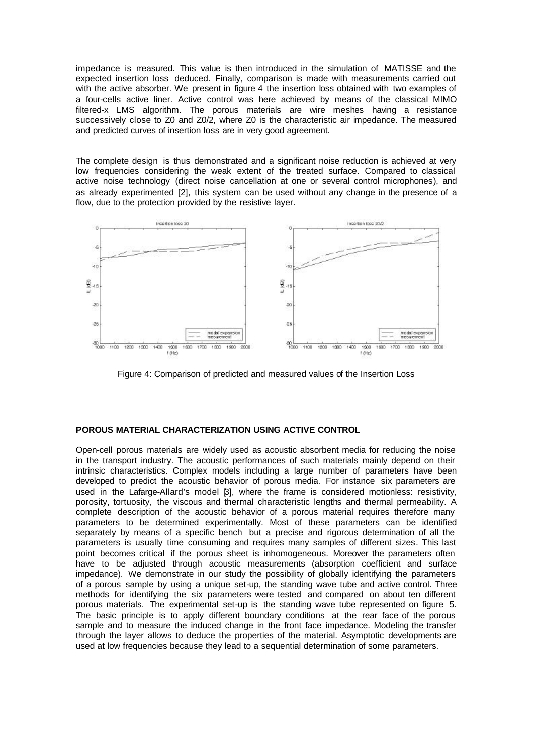impedance is measured. This value is then introduced in the simulation of MATISSE and the expected insertion loss deduced. Finally, comparison is made with measurements carried out with the active absorber. We present in figure 4 the insertion loss obtained with two examples of a four-cells active liner. Active control was here achieved by means of the classical MIMO filtered-x LMS algorithm. The porous materials are wire meshes having a resistance successively close to Z0 and Z0/2, where Z0 is the characteristic air impedance. The measured and predicted curves of insertion loss are in very good agreement.

The complete design is thus demonstrated and a significant noise reduction is achieved at very low frequencies considering the weak extent of the treated surface. Compared to classical active noise technology (direct noise cancellation at one or several control microphones), and as already experimented [2], this system can be used without any change in the presence of a flow, due to the protection provided by the resistive layer.



Figure 4: Comparison of predicted and measured values of the Insertion Loss

# **POROUS MATERIAL CHARACTERIZATION USING ACTIVE CONTROL**

Open-cell porous materials are widely used as acoustic absorbent media for reducing the noise in the transport industry. The acoustic performances of such materials mainly depend on their intrinsic characteristics. Complex models including a large number of parameters have been developed to predict the acoustic behavior of porous media. For instance six parameters are used in the Lafarge-Allard's model  $\beta$ ], where the frame is considered motionless: resistivity, porosity, tortuosity, the viscous and thermal characteristic lengths and thermal permeability. A complete description of the acoustic behavior of a porous material requires therefore many parameters to be determined experimentally. Most of these parameters can be identified separately by means of a specific bench but a precise and rigorous determination of all the parameters is usually time consuming and requires many samples of different sizes. This last point becomes critical if the porous sheet is inhomogeneous. Moreover the parameters often have to be adjusted through acoustic measurements (absorption coefficient and surface impedance). We demonstrate in our study the possibility of globally identifying the parameters of a porous sample by using a unique set-up, the standing wave tube and active control. Three methods for identifying the six parameters were tested and compared on about ten different porous materials. The experimental set-up is the standing wave tube represented on figure 5. The basic principle is to apply different boundary conditions at the rear face of the porous sample and to measure the induced change in the front face impedance. Modeling the transfer through the layer allows to deduce the properties of the material. Asymptotic developments are used at low frequencies because they lead to a sequential determination of some parameters.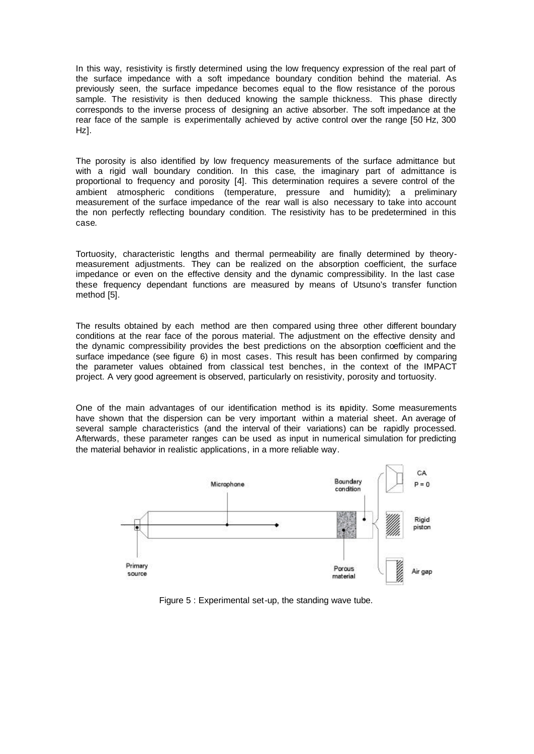In this way, resistivity is firstly determined using the low frequency expression of the real part of the surface impedance with a soft impedance boundary condition behind the material. As previously seen, the surface impedance becomes equal to the flow resistance of the porous sample. The resistivity is then deduced knowing the sample thickness. This phase directly corresponds to the inverse process of designing an active absorber. The soft impedance at the rear face of the sample is experimentally achieved by active control over the range [50 Hz, 300 Hz].

The porosity is also identified by low frequency measurements of the surface admittance but with a rigid wall boundary condition. In this case, the imaginary part of admittance is proportional to frequency and porosity [4]. This determination requires a severe control of the ambient atmospheric conditions (temperature, pressure and humidity); a preliminary measurement of the surface impedance of the rear wall is also necessary to take into account the non perfectly reflecting boundary condition. The resistivity has to be predetermined in this case.

Tortuosity, characteristic lengths and thermal permeability are finally determined by theorymeasurement adjustments. They can be realized on the absorption coefficient, the surface impedance or even on the effective density and the dynamic compressibility. In the last case these frequency dependant functions are measured by means of Utsuno's transfer function method [5].

The results obtained by each method are then compared using three other different boundary conditions at the rear face of the porous material. The adjustment on the effective density and the dynamic compressibility provides the best predictions on the absorption coefficient and the surface impedance (see figure 6) in most cases. This result has been confirmed by comparing the parameter values obtained from classical test benches, in the context of the IMPACT project. A very good agreement is observed, particularly on resistivity, porosity and tortuosity.

One of the main advantages of our identification method is its apidity. Some measurements have shown that the dispersion can be very important within a material sheet. An average of several sample characteristics (and the interval of their variations) can be rapidly processed. Afterwards, these parameter ranges can be used as input in numerical simulation for predicting the material behavior in realistic applications, in a more reliable way.



Figure 5 : Experimental set-up, the standing wave tube.